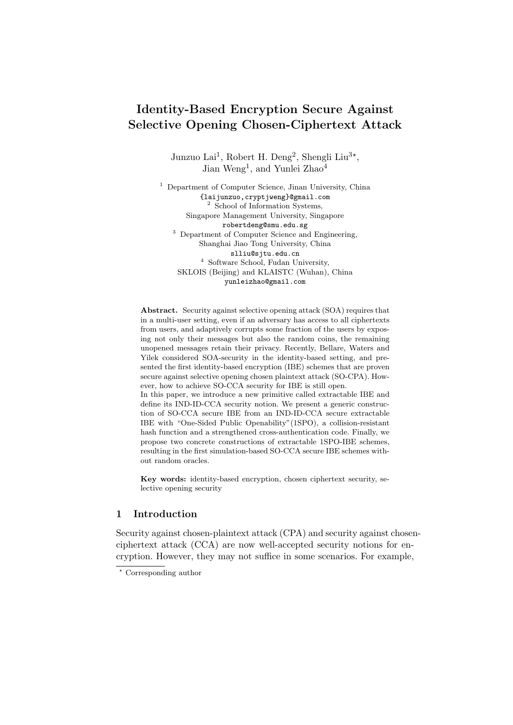# **Identity-Based Encryption Secure Against Selective Opening Chosen-Ciphertext Attack**

Junzuo Lai<sup>1</sup>, Robert H. Deng<sup>2</sup>, Shengli Liu<sup>3\*</sup>, Jian Weng<sup>1</sup>, and Yunlei Zhao<sup>4</sup>

<sup>1</sup> Department of Computer Science, Jinan University, China {laijunzuo,cryptjweng}@gmail.com <sup>2</sup> School of Information Systems, Singapore Management University, Singapore robertdeng@smu.edu.sg <sup>3</sup> Department of Computer Science and Engineering, Shanghai Jiao Tong University, China slliu@sjtu.edu.cn <sup>4</sup> Software School, Fudan University, SKLOIS (Beijing) and KLAISTC (Wuhan), China yunleizhao@gmail.com

**Abstract.** Security against selective opening attack (SOA) requires that in a multi-user setting, even if an adversary has access to all ciphertexts from users, and adaptively corrupts some fraction of the users by exposing not only their messages but also the random coins, the remaining unopened messages retain their privacy. Recently, Bellare, Waters and Yilek considered SOA-security in the identity-based setting, and presented the first identity-based encryption (IBE) schemes that are proven secure against selective opening chosen plaintext attack (SO-CPA). However, how to achieve SO-CCA security for IBE is still open. In this paper, we introduce a new primitive called extractable IBE and define its IND-ID-CCA security notion. We present a generic construction of SO-CCA secure IBE from an IND-ID-CCA secure extractable IBE with "One-Sided Public Openability"(1SPO), a collision-resistant hash function and a strengthened cross-authentication code. Finally, we propose two concrete constructions of extractable 1SPO-IBE schemes, resulting in the first simulation-based SO-CCA secure IBE schemes without random oracles.

**Key words:** identity-based encryption, chosen ciphertext security, selective opening security

#### **1 Introduction**

Security against chosen-plaintext attack (CPA) and security against chosenciphertext attack (CCA) are now well-accepted security notions for encryption. However, they may not suffice in some scenarios. For example,

*<sup>⋆</sup>* Corresponding author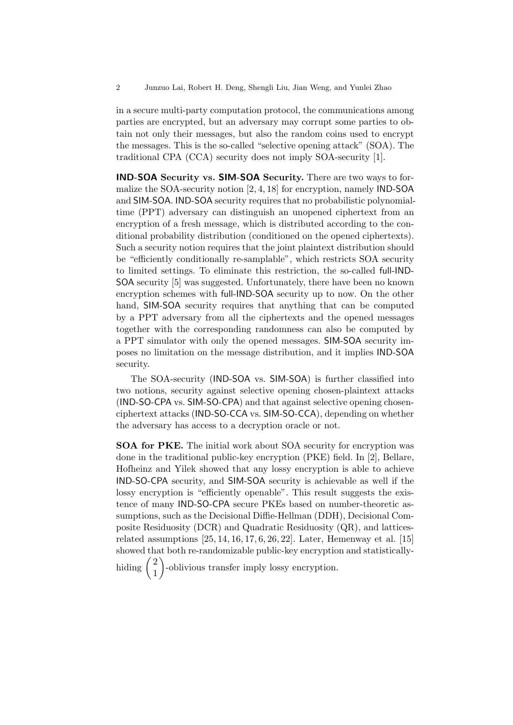in a secure multi-party computation protocol, the communications among parties are encrypted, but an adversary may corrupt some parties to obtain not only their messages, but also the random coins used to encrypt the messages. This is the so-called "selective opening attack" (SOA). The traditional CPA (CCA) security does not imply SOA-security [1].

**IND-SOA Security vs. SIM-SOA Security.** There are two ways to formalize the SOA-security notion [2, 4, 18] for encryption, namely IND-SOA and SIM-SOA. IND-SOA security requires that no probabilistic polynomialtime (PPT) adversary can distinguish an unopened ciphertext from an encryption of a fresh message, which is distributed according to the conditional probability distribution (conditioned on the opened ciphertexts). Such a security notion requires that the joint plaintext distribution should be "efficiently conditionally re-samplable", which restricts SOA security to limited settings. To eliminate this restriction, the so-called full-IND-SOA security [5] was suggested. Unfortunately, there have been no known encryption schemes with full-IND-SOA security up to now. On the other hand, SIM-SOA security requires that anything that can be computed by a PPT adversary from all the ciphertexts and the opened messages together with the corresponding randomness can also be computed by a PPT simulator with only the opened messages. SIM-SOA security imposes no limitation on the message distribution, and it implies IND-SOA security.

The SOA-security (IND-SOA vs. SIM-SOA) is further classified into two notions, security against selective opening chosen-plaintext attacks (IND-SO-CPA vs. SIM-SO-CPA) and that against selective opening chosenciphertext attacks (IND-SO-CCA vs. SIM-SO-CCA), depending on whether the adversary has access to a decryption oracle or not.

**SOA for PKE.** The initial work about SOA security for encryption was done in the traditional public-key encryption (PKE) field. In [2], Bellare, Hofheinz and Yilek showed that any lossy encryption is able to achieve IND-SO-CPA security, and SIM-SOA security is achievable as well if the lossy encryption is "efficiently openable". This result suggests the existence of many IND-SO-CPA secure PKEs based on number-theoretic assumptions, such as the Decisional Diffie-Hellman (DDH), Decisional Composite Residuosity (DCR) and Quadratic Residuosity (QR), and latticesrelated assumptions [25, 14, 16, 17, 6, 26, 22]. Later, Hemenway et al. [15] showed that both re-randomizable public-key encryption and statisticallysumptions<br>posite Res<br>related ass<br>showed the<br>hiding  $\begin{pmatrix} 2 \\ 1 \end{pmatrix}$ 

1 -oblivious transfer imply lossy encryption.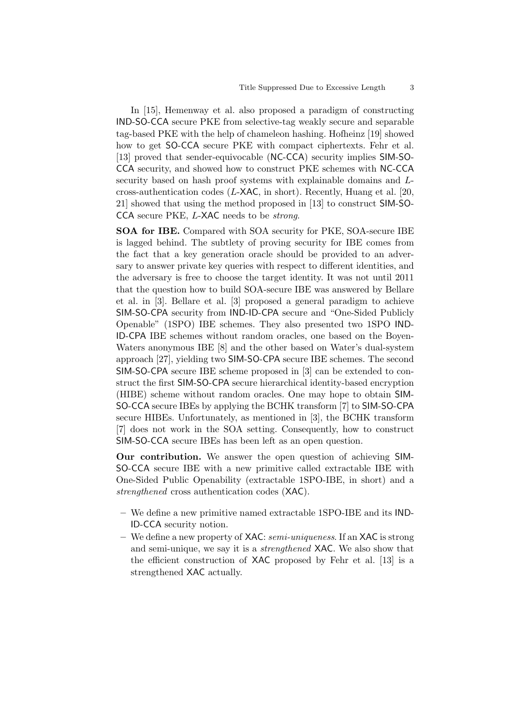In [15], Hemenway et al. also proposed a paradigm of constructing IND-SO-CCA secure PKE from selective-tag weakly secure and separable tag-based PKE with the help of chameleon hashing. Hofheinz [19] showed how to get SO-CCA secure PKE with compact ciphertexts. Fehr et al. [13] proved that sender-equivocable (NC-CCA) security implies SIM-SO-CCA security, and showed how to construct PKE schemes with NC-CCA security based on hash proof systems with explainable domains and *L*cross-authentication codes (*L*-XAC, in short). Recently, Huang et al. [20, 21] showed that using the method proposed in [13] to construct SIM-SO-CCA secure PKE, *L*-XAC needs to be *strong*.

**SOA for IBE.** Compared with SOA security for PKE, SOA-secure IBE is lagged behind. The subtlety of proving security for IBE comes from the fact that a key generation oracle should be provided to an adversary to answer private key queries with respect to different identities, and the adversary is free to choose the target identity. It was not until 2011 that the question how to build SOA-secure IBE was answered by Bellare et al. in [3]. Bellare et al. [3] proposed a general paradigm to achieve SIM-SO-CPA security from IND-ID-CPA secure and "One-Sided Publicly Openable" (1SPO) IBE schemes. They also presented two 1SPO IND-ID-CPA IBE schemes without random oracles, one based on the Boyen-Waters anonymous IBE [8] and the other based on Water's dual-system approach [27], yielding two SIM-SO-CPA secure IBE schemes. The second SIM-SO-CPA secure IBE scheme proposed in [3] can be extended to construct the first SIM-SO-CPA secure hierarchical identity-based encryption (HIBE) scheme without random oracles. One may hope to obtain SIM-SO-CCA secure IBEs by applying the BCHK transform [7] to SIM-SO-CPA secure HIBEs. Unfortunately, as mentioned in [3], the BCHK transform [7] does not work in the SOA setting. Consequently, how to construct SIM-SO-CCA secure IBEs has been left as an open question.

**Our contribution.** We answer the open question of achieving SIM-SO-CCA secure IBE with a new primitive called extractable IBE with One-Sided Public Openability (extractable 1SPO-IBE, in short) and a *strengthened* cross authentication codes (XAC).

- **–** We define a new primitive named extractable 1SPO-IBE and its IND-ID-CCA security notion.
- **–** We define a new property of XAC: *semi-uniqueness*. If an XAC is strong and semi-unique, we say it is a *strengthened* XAC. We also show that the efficient construction of XAC proposed by Fehr et al. [13] is a strengthened XAC actually.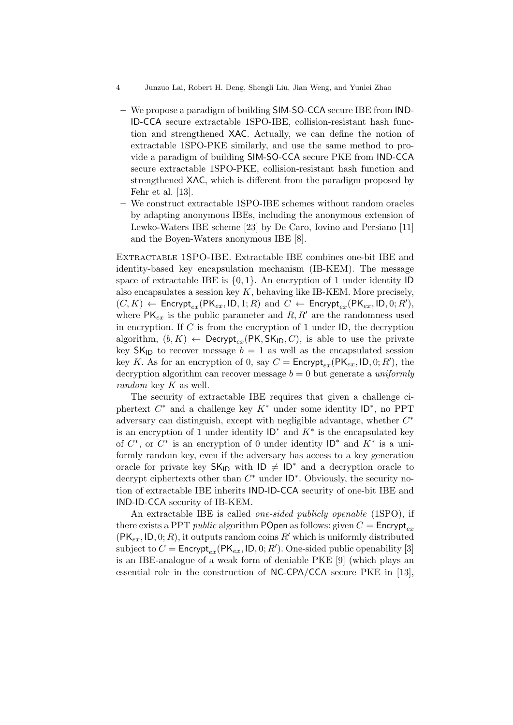- 4 Junzuo Lai, Robert H. Deng, Shengli Liu, Jian Weng, and Yunlei Zhao
- **–** We propose a paradigm of building SIM-SO-CCA secure IBE from IND-ID-CCA secure extractable 1SPO-IBE, collision-resistant hash function and strengthened XAC. Actually, we can define the notion of extractable 1SPO-PKE similarly, and use the same method to provide a paradigm of building SIM-SO-CCA secure PKE from IND-CCA secure extractable 1SPO-PKE, collision-resistant hash function and strengthened XAC, which is different from the paradigm proposed by Fehr et al. [13].
- **–** We construct extractable 1SPO-IBE schemes without random oracles by adapting anonymous IBEs, including the anonymous extension of Lewko-Waters IBE scheme [23] by De Caro, Iovino and Persiano [11] and the Boyen-Waters anonymous IBE [8].

Extractable 1SPO-IBE. Extractable IBE combines one-bit IBE and identity-based key encapsulation mechanism (IB-KEM). The message space of extractable IBE is *{*0*,* 1*}*. An encryption of 1 under identity ID also encapsulates a session key *K*, behaving like IB-KEM. More precisely,  $(C, K) \leftarrow$  Encrypt<sub>ex</sub>(PK<sub>ex</sub>, ID, 1; *R*) and  $C \leftarrow$  Encrypt<sub>ex</sub>(PK<sub>ex</sub>, ID, 0; *R'*), where  $PK_{ex}$  is the public parameter and  $R, R'$  are the randomness used in encryption. If  $C$  is from the encryption of 1 under  $ID$ , the decryption algorithm,  $(b, K) \leftarrow$  Decrypt<sub>ex</sub>(PK, SK<sub>ID</sub>, C), is able to use the private key  $SK_{1D}$  to recover message  $b = 1$  as well as the encapsulated session key *K*. As for an encryption of 0, say  $C =$  **Encrypt**<sub>ex</sub>( $\textsf{PK}_{ex}$ ,  $\textsf{ID}, 0; R'$ ), the decryption algorithm can recover message *b* = 0 but generate a *uniformly random* key *K* as well.

The security of extractable IBE requires that given a challenge ciphertext *C ∗* and a challenge key *K∗* under some identity ID*∗* , no PPT adversary can distinguish, except with negligible advantage, whether *C ∗* is an encryption of 1 under identity ID*∗* and *K∗* is the encapsulated key of *C ∗* , or *C ∗* is an encryption of 0 under identity ID*∗* and *K∗* is a uniformly random key, even if the adversary has access to a key generation oracle for private key  $SK_{\text{ID}}$  with  $ID \neq ID^*$  and a decryption oracle to decrypt ciphertexts other than *C ∗* under ID*∗ .* Obviously, the security notion of extractable IBE inherits IND-ID-CCA security of one-bit IBE and IND-ID-CCA security of IB-KEM.

An extractable IBE is called *one-sided publicly openable* (1SPO), if there exists a PPT *public* algorithm POpen as follows: given  $C =$  Encrypt<sub>ex</sub>  $(PK_{ex}, ID, 0; R)$ , it outputs random coins  $R'$  which is uniformly distributed  $\text{subject to } C = \mathsf{Encrypt}_{ex}(\mathsf{PK}_{ex}, \mathsf{ID}, 0; R').$  One-sided public openability  $[3]$ is an IBE-analogue of a weak form of deniable PKE [9] (which plays an essential role in the construction of NC-CPA/CCA secure PKE in [13],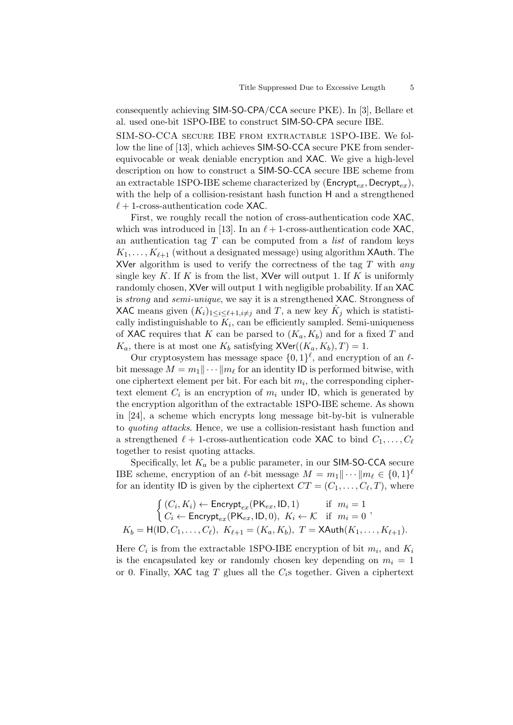consequently achieving SIM-SO-CPA/CCA secure PKE). In [3], Bellare et al. used one-bit 1SPO-IBE to construct SIM-SO-CPA secure IBE.

SIM-SO-CCA secure IBE from extractable 1SPO-IBE. We follow the line of [13], which achieves SIM-SO-CCA secure PKE from senderequivocable or weak deniable encryption and XAC. We give a high-level description on how to construct a SIM-SO-CCA secure IBE scheme from an extractable 1SPO-IBE scheme characterized by  $(\text{Encrypt}_{ex}, \text{Decrypt}_{ex})$ , with the help of a collision-resistant hash function H and a strengthened *ℓ* + 1-cross-authentication code XAC.

First, we roughly recall the notion of cross-authentication code XAC, which was introduced in [13]. In an  $\ell + 1$ -cross-authentication code XAC, an authentication tag *T* can be computed from a *list* of random keys  $K_1, \ldots, K_{\ell+1}$  (without a designated message) using algorithm **XAuth**. The XVer algorithm is used to verify the correctness of the tag *T* with *any* single key *K*. If *K* is from the list, XVer will output 1. If *K* is uniformly randomly chosen, XVer will output 1 with negligible probability. If an XAC is *strong* and *semi-unique*, we say it is a strengthened XAC. Strongness of XAC means given  $(K_i)_{1 \leq i \leq \ell+1, i \neq j}$  and *T*, a new key  $\hat{K}_j$  which is statistically indistinguishable to  $K_i$ , can be efficiently sampled. Semi-uniqueness of XAC requires that *K* can be parsed to (*Ka, Kb*) and for a fixed *T* and  $K_a$ , there is at most one  $K_b$  satisfying  $XVer((K_a, K_b), T) = 1$ .

Our cryptosystem has message space  $\{0,1\}^{\ell}$ , and encryption of an  $\ell$ bit message  $M = m_1 || \cdots || m_\ell$  for an identity ID is performed bitwise, with one ciphertext element per bit. For each bit  $m_i$ , the corresponding ciphertext element  $C_i$  is an encryption of  $m_i$  under ID, which is generated by the encryption algorithm of the extractable 1SPO-IBE scheme. As shown in [24], a scheme which encrypts long message bit-by-bit is vulnerable to *quoting attacks*. Hence, we use a collision-resistant hash function and a strengthened  $\ell + 1$ -cross-authentication code XAC to bind  $C_1, \ldots, C_\ell$ together to resist quoting attacks.

Specifically, let  $K_a$  be a public parameter, in our **SIM-SO-CCA** secure IBE scheme, encryption of an  $\ell$ -bit message  $M = m_1 || \cdots || m_\ell \in \{0,1\}^\ell$ for an identity ID is given by the ciphertext  $CT = (C_1, \ldots, C_{\ell}, T)$ , where

$$
\begin{cases}\n(C_i, K_i) \leftarrow \text{Encrypt}_{ex}(PK_{ex}, ID, 1) & \text{if } m_i = 1 \\
C_i \leftarrow \text{Encrypt}_{ex}(PK_{ex}, ID, 0), K_i \leftarrow \mathcal{K} & \text{if } m_i = 0\n\end{cases}, \\
K_b = H(ID, C_1, \dots, C_\ell), K_{\ell+1} = (K_a, K_b), T = X \text{Auth}(K_1, \dots, K_{\ell+1}).\n\end{cases}
$$

Here  $C_i$  is from the extractable 1SPO-IBE encryption of bit  $m_i$ , and  $K_i$ is the encapsulated key or randomly chosen key depending on  $m_i = 1$ or 0. Finally, XAC tag *T* glues all the *Ci*s together. Given a ciphertext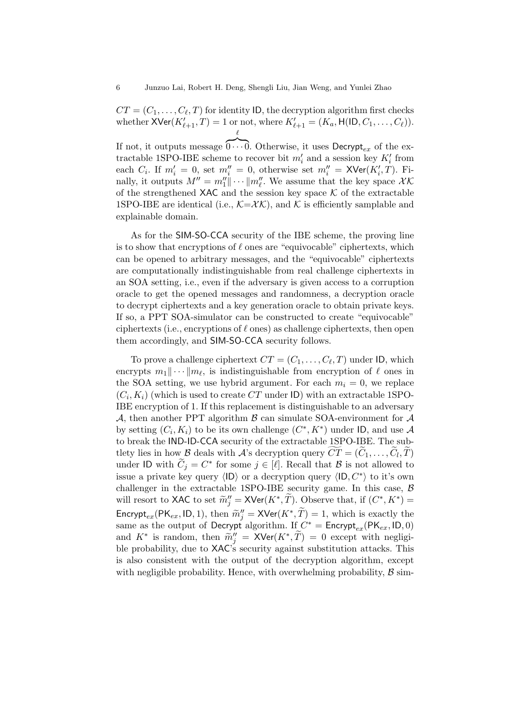$CT = (C_1, \ldots, C_{\ell}, T)$  for identity ID, the decryption algorithm first checks whether  $\mathsf{XVer}(K'_{\ell+1}, T) = 1$  or not, where  $K'_{\ell+1} = (K_a, \mathsf{H}(\mathsf{ID}, C_1, \ldots, C_\ell)).$ *ℓ*  $\frac{1}{\ell}$  and  $\ell$ 

If not, it outputs message  $0 \cdots 0$ . Otherwise, it uses Decrypt<sub>ex</sub> of the extractable 1SPO-IBE scheme to recover bit  $m'_i$  and a session key  $K'_i$  from each  $C_i$ . If  $m'_i = 0$ , set  $m''_i = 0$ , otherwise set  $m''_i = \textsf{XVer}(K'_i, T)$ . Finally, it outputs  $M'' = m_1'' || \cdots || m_{\ell}''.$  We assume that the key space  $\chi \mathcal{K}$ of the strengthened  $XAC$  and the session key space  $K$  of the extractable 1SPO-IBE are identical (i.e.,  $K = \mathcal{X} \mathcal{K}$ ), and  $\mathcal{K}$  is efficiently samplable and explainable domain.

As for the SIM-SO-CCA security of the IBE scheme, the proving line is to show that encryptions of *ℓ* ones are "equivocable" ciphertexts, which can be opened to arbitrary messages, and the "equivocable" ciphertexts are computationally indistinguishable from real challenge ciphertexts in an SOA setting, i.e., even if the adversary is given access to a corruption oracle to get the opened messages and randomness, a decryption oracle to decrypt ciphertexts and a key generation oracle to obtain private keys. If so, a PPT SOA-simulator can be constructed to create "equivocable" ciphertexts (i.e., encryptions of *ℓ* ones) as challenge ciphertexts, then open them accordingly, and SIM-SO-CCA security follows.

To prove a challenge ciphertext  $CT = (C_1, \ldots, C_{\ell}, T)$  under ID, which encrypts  $m_1 \|\cdots \| m_\ell$ , is indistinguishable from encryption of  $\ell$  ones in the SOA setting, we use hybrid argument. For each  $m_i = 0$ , we replace  $(C_i, K_i)$  (which is used to create  $CT$  under  $ID$ ) with an extractable 1SPO-IBE encryption of 1. If this replacement is distinguishable to an adversary *A*, then another PPT algorithm *B* can simulate SOA-environment for *A* by setting  $(C_i, K_i)$  to be its own challenge  $(C^*, K^*)$  under ID, and use  $\mathcal A$ to break the IND-ID-CCA security of the extractable 1SPO-IBE. The sub-IBE encryption of 1. If this replacement is distinguishable to an adversary  $A$ , then another PPT algorithm  $B$  can simulate SOA-environment for  $A$  by setting  $(C_i, K_i)$  to be its own challenge  $(C^*, K^*)$  under ID, and use A, then another PPT<br>by setting  $(C_i, K_i)$  to l<br>to break the IND-ID-C<br>tlety lies in how B dea<br>under ID with  $\widetilde{C}_j = C$ *∗* for some *j ∈* [*ℓ*]. Recall that *B* is not allowed to issue a private key query *⟨*ID*⟩* or a decryption query *⟨*ID*, C∗ ⟩* to it's own challenger in the extractable 1SPO-IBE security game. In this case, *B* thety hes in how *B* deals with *A*'s decryption query  $CI = (C_1, ..., C_l, T)$ <br>under ID with  $\widetilde{C}_j = C^*$  for some  $j \in [\ell]$ . Recall that *B* is not allowed to<br>issue a private key query  $\langle \text{ID} \rangle$  or a decryption query  $\langle \text{ID},$ issue a private key query  $\langle D \rangle$  or a decryption query  $\langle D, C^* \rangle$  to it's own<br>challenger in the extractable 1SPO-IBE security game. In this case, B<br>will resort to XAC to set  $\widetilde{m}''_j = X\text{Ver}(K^*, \widetilde{T})$ . Observe that, i *′′ <sup>j</sup>* = XVer(*K<sup>∗</sup>* same as the output of Decrypt algorithm. If  $C^* =$  Encrypt $_{ex}$ (PK $_{ex}$ , ID, 0) and  $K^*$  is random, then  $\widetilde{m}''_j = \textsf{XVer}(K^*)$ if in the extractable 151 O-IDD security game. In this case,  $D$ <br>  $t$  to XAC to set  $\widetilde{m}''_j = X\text{Ver}(K^*, \widetilde{T})$ . Observe that, if  $(C^*, K^*) =$ <br>  $\frac{1}{2}(PK_{ex}, ID, 1)$ , then  $\widetilde{m}''_j = X\text{Ver}(K^*, \widetilde{T}) = 1$ , which is exactly the<br> ble probability, due to XAC's security against substitution attacks. This is also consistent with the output of the decryption algorithm, except with negligible probability. Hence, with overwhelming probability,  $\beta$  sim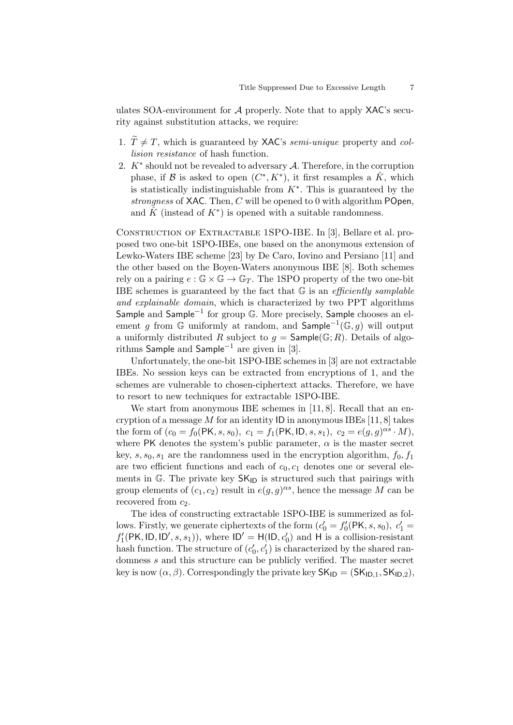ulates SOA-environment for *A* properly. Note that to apply XAC's security against substitution attacks, we require:

- 1.  $\widetilde{T} \neq T$ , which is guaranteed by **XAC**'s *semi-unique* property and *collision resistance* of hash function.
- 2. *K∗* should not be revealed to adversary *A*. Therefore, in the corruption phase, if *B* is asked to open  $(C^*, K^*)$ , it first resamples a  $\hat{K}$ , which is statistically indistinguishable from *K∗* . This is guaranteed by the *strongness* of XAC. Then, *C* will be opened to 0 with algorithm POpen, and  $\hat{K}$  (instead of  $K^*$ ) is opened with a suitable randomness.

Construction of Extractable 1SPO-IBE. In [3], Bellare et al. proposed two one-bit 1SPO-IBEs, one based on the anonymous extension of Lewko-Waters IBE scheme [23] by De Caro, Iovino and Persiano [11] and the other based on the Boyen-Waters anonymous IBE [8]. Both schemes rely on a pairing  $e : \mathbb{G} \times \mathbb{G} \to \mathbb{G}_T$ . The 1SPO property of the two one-bit IBE schemes is guaranteed by the fact that G is an *efficiently samplable and explainable domain*, which is characterized by two PPT algorithms Sample and Sample*−*<sup>1</sup> for group G. More precisely, Sample chooses an element *g* from G uniformly at random, and Sample*−*<sup>1</sup> (G*, g*) will output a uniformly distributed *R* subject to  $q =$  Sample( $\mathbb{G}$ ; *R*). Details of algorithms Sample and Sample*−*<sup>1</sup> are given in [3].

Unfortunately, the one-bit 1SPO-IBE schemes in [3] are not extractable IBEs. No session keys can be extracted from encryptions of 1, and the schemes are vulnerable to chosen-ciphertext attacks. Therefore, we have to resort to new techniques for extractable 1SPO-IBE.

We start from anonymous IBE schemes in [11, 8]. Recall that an encryption of a message *M* for an identity ID in anonymous IBEs [11, 8] takes the form of  $(c_0 = f_0(PK, s, s_0), c_1 = f_1(PK, ID, s, s_1), c_2 = e(g, g)^{\alpha s} \cdot M$ , where PK denotes the system's public parameter,  $\alpha$  is the master secret key,  $s, s_0, s_1$  are the randomness used in the encryption algorithm,  $f_0, f_1$ are two efficient functions and each of  $c_0, c_1$  denotes one or several elements in  $\mathbb{G}$ . The private key  $SK_{\mathsf{ID}}$  is structured such that pairings with group elements of  $(c_1, c_2)$  result in  $e(g, g)^{\alpha s}$ , hence the message *M* can be recovered from  $c_2$ .

The idea of constructing extractable 1SPO-IBE is summerized as follows. Firstly, we generate ciphertexts of the form  $(c'_0 = f'_0(\text{PK}, s, s_0), c'_1 =$  $f'_{1}(\text{PK}, \text{ID}, \text{ID}', s, s_{1}),$  where  $\text{ID}' = \text{H}(\text{ID}, c'_{0})$  and H is a collision-resistant hash function. The structure of  $(c'_0, c'_1)$  is characterized by the shared randomness *s* and this structure can be publicly verified. The master secret key is now  $(\alpha, \beta)$ . Correspondingly the private key  $SK_{ID} = (SK_{ID,1}, SK_{ID,2})$ ,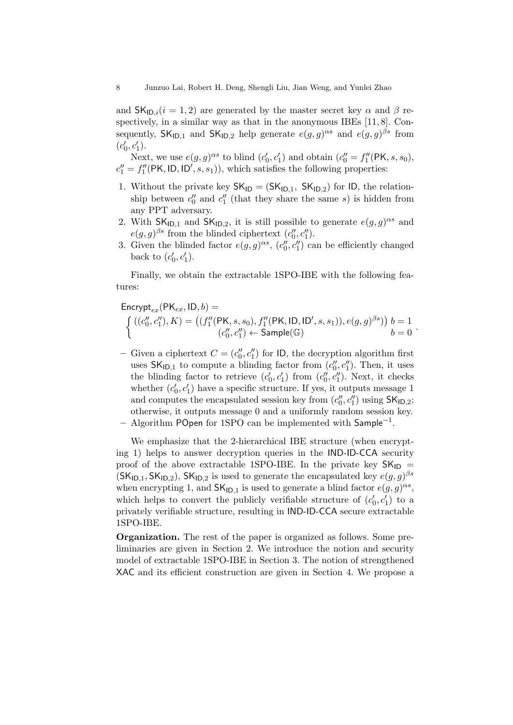and  $\mathsf{SK}_{\mathsf{ID},i}(i=1,2)$  are generated by the master secret key  $\alpha$  and  $\beta$  respectively, in a similar way as that in the anonymous IBEs [11, 8]. Consequently,  $SK_{1D,1}$  and  $SK_{1D,2}$  help generate  $e(g,g)^{\alpha s}$  and  $e(g,g)^{\beta s}$  from  $(c'_0, c'_1).$ 

Next, we use  $e(g, g)^{\alpha s}$  to blind  $(c'_0, c'_1)$  and obtain  $(c''_0 = f''_1(\text{PK}, s, s_0)$ ,  $c''_1 = f''_1$ (PK, ID, ID', s, s<sub>1</sub>)), which satisfies the following properties:

- 1. Without the private key  $SK_{ID} = (SK_{ID,1}, SK_{ID,2})$  for ID, the relationship between  $c''_0$  and  $c''_1$  (that they share the same *s*) is hidden from any PPT adversary.
- 2. With  $SK<sub>1D,1</sub>$  and  $SK<sub>1D,2</sub>$ , it is still possible to generate  $e(g,g)^{\alpha s}$  and  $e(g, g)^{\beta s}$  from the blinded ciphertext  $(c''_0, c''_1)$ .
- 3. Given the blinded factor  $e(g, g)^{\alpha s}$ ,  $(c''_0, c''_1)$  can be efficiently changed back to  $(c'_0, c'_1)$ .

tures:

Finally, we obtain the extractable 1SPO-IBE with the following fea-  
ures:  
Encrypt<sub>ex</sub>(PK<sub>ex</sub>, ID, b) =  

$$
\begin{cases} ((c''_0, c''_1), K) = ((f''_1(\text{PK}, s, s_0), f''_1(\text{PK}, \text{ID}, \text{ID}', s, s_1)), e(g, g)^{\beta s})) b = 1 \\ (c''_0, c''_1) \leftarrow \text{Sample}(\mathbb{G}) \qquad b = 0 \end{cases}.
$$

- Given a ciphertext  $C = (c''_0, c''_1)$  for ID, the decryption algorithm first uses  $SK<sub>ID,1</sub>$  to compute a blinding factor from  $(c''_0, c''_1)$ . Then, it uses the blinding factor to retrieve  $(c'_0, c'_1)$  from  $(c''_0, c''_1)$ . Next, it checks whether  $(c'_0, c'_1)$  have a specific structure. If yes, it outputs message 1 and computes the encapsulated session key from  $(c''_0, c''_1)$  using  $SK_{1D,2}$ ; otherwise, it outputs message 0 and a uniformly random session key.
- **–** Algorithm POpen for 1SPO can be implemented with Sample*−*<sup>1</sup> .

We emphasize that the 2-hierarchical IBE structure (when encrypting 1) helps to answer decryption queries in the IND-ID-CCA security proof of the above extractable 1SPO-IBE. In the private key  $SK_{1D}$  =  $(SK_{1D,1}, SK_{1D,2})$ ,  $SK_{1D,2}$  is used to generate the encapsulated key  $e(g, g)^{\beta s}$ when encrypting 1, and  $SK<sub>ID,1</sub>$  is used to generate a blind factor  $e(g, g)^{\alpha s}$ , which helps to convert the publicly verifiable structure of  $(c'_0, c'_1)$  to a privately verifiable structure, resulting in IND-ID-CCA secure extractable 1SPO-IBE.

**Organization.** The rest of the paper is organized as follows. Some preliminaries are given in Section 2. We introduce the notion and security model of extractable 1SPO-IBE in Section 3. The notion of strengthened XAC and its efficient construction are given in Section 4. We propose a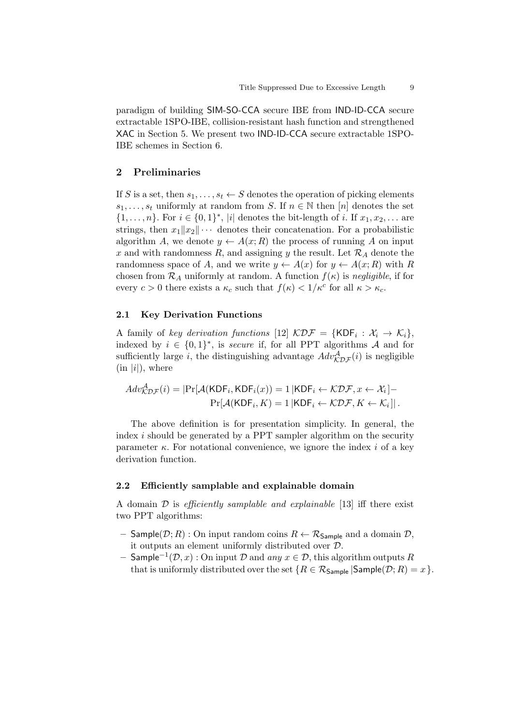paradigm of building SIM-SO-CCA secure IBE from IND-ID-CCA secure extractable 1SPO-IBE, collision-resistant hash function and strengthened XAC in Section 5. We present two IND-ID-CCA secure extractable 1SPO-IBE schemes in Section 6.

# **2 Preliminaries**

If *S* is a set, then  $s_1, \ldots, s_t \leftarrow S$  denotes the operation of picking elements *s*<sub>1</sub>*,..., s*<sup>*t*</sup> uniformly at random from *S*. If  $n \in \mathbb{N}$  then [*n*] denotes the set  $\{1, \ldots, n\}$ . For  $i \in \{0, 1\}^*$ ,  $|i|$  denotes the bit-length of *i*. If  $x_1, x_2, \ldots$  are strings, then  $x_1||x_2||\cdots$  denotes their concatenation. For a probabilistic algorithm *A*, we denote  $y \leftarrow A(x; R)$  the process of running *A* on input x and with randomness R, and assigning y the result. Let  $\mathcal{R}_A$  denote the randomness space of *A*, and we write  $y \leftarrow A(x)$  for  $y \leftarrow A(x; R)$  with *R* chosen from  $\mathcal{R}_A$  uniformly at random. A function  $f(\kappa)$  is *negligible*, if for every  $c > 0$  there exists a  $\kappa_c$  such that  $f(\kappa) < 1/\kappa^c$  for all  $\kappa > \kappa_c$ .

#### **2.1 Key Derivation Functions**

A family of *key derivation functions* [12]  $\mathcal{KDF} = \{ \mathsf{KDF}_i : \mathcal{X}_i \to \mathcal{K}_i \},$ indexed by  $i \in \{0,1\}^*$ , is *secure* if, for all PPT algorithms *A* and for sufficiently large *i*, the distinguishing advantage  $Adv^A_{\mathcal{KDF}}(i)$  is negligible  $(iii)$ , where

$$
Adv_{\mathcal{KDF}}^{\mathcal{A}}(i) = |\Pr[\mathcal{A}(\mathsf{KDF}_i, \mathsf{KDF}_i(x)) = 1 | \mathsf{KDF}_i \leftarrow \mathcal{KDF}, x \leftarrow \mathcal{X}_i] -
$$

$$
\Pr[\mathcal{A}(\mathsf{KDF}_i, K) = 1 | \mathsf{KDF}_i \leftarrow \mathcal{KDF}, K \leftarrow \mathcal{K}_i]|.
$$

The above definition is for presentation simplicity. In general, the index *i* should be generated by a PPT sampler algorithm on the security parameter  $\kappa$ . For notational convenience, we ignore the index *i* of a key derivation function.

#### **2.2 Efficiently samplable and explainable domain**

A domain *D* is *efficiently samplable and explainable* [13] iff there exist two PPT algorithms:

- $−$  Sample( $D$ ;  $R$ ) : On input random coins  $R$  ←  $R$ <sub>Sample</sub> and a domain  $D$ , it outputs an element uniformly distributed over *D*.
- **–** Sample*−*<sup>1</sup> (*D, x*) : On input *D* and *any x ∈ D*, this algorithm outputs *R* that is uniformly distributed over the set  ${R \in \mathcal{R}_{Sample}}$  *Sample* $(\mathcal{D}; R) = x$ *}*.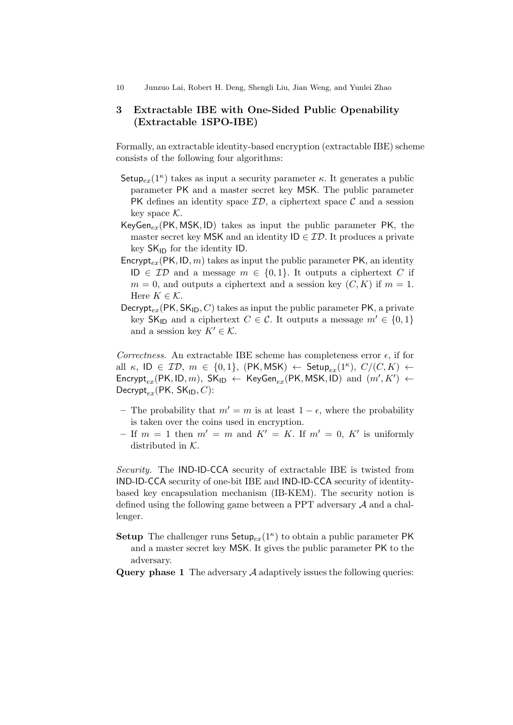10 Junzuo Lai, Robert H. Deng, Shengli Liu, Jian Weng, and Yunlei Zhao

### **3 Extractable IBE with One-Sided Public Openability (Extractable 1SPO-IBE)**

Formally, an extractable identity-based encryption (extractable IBE) scheme consists of the following four algorithms:

- Setup<sub>ex</sub>(1<sup> $\kappa$ </sup>) takes as input a security parameter  $\kappa$ . It generates a public parameter PK and a master secret key MSK. The public parameter PK defines an identity space *ID*, a ciphertext space *C* and a session key space *K*.
- KeyGen*ex*(PK*,* MSK*,* ID) takes as input the public parameter PK, the master secret key MSK and an identity  $ID \in \mathcal{ID}$ . It produces a private key  $SK<sub>ID</sub>$  for the identity ID.
- Encrypt<sub>ex</sub> (PK, ID, m) takes as input the public parameter PK, an identity ID *∈ ID* and a message *m ∈ {*0*,* 1*}*. It outputs a ciphertext *C* if  $m = 0$ , and outputs a ciphertext and a session key  $(C, K)$  if  $m = 1$ . Here  $K \in \mathcal{K}$ .
- Decrypt<sub>ex</sub>(PK,  $SK<sub>ID</sub>, C$ ) takes as input the public parameter PK, a private key  $SK_{ID}$  and a ciphertext  $C \in \mathcal{C}$ . It outputs a message  $m' \in \{0,1\}$ and a session key  $K' \in \mathcal{K}$ .

*Correctness.* An extractable IBE scheme has completeness error  $\epsilon$ , if for all *κ*, ID *∈ ID*, *m ∈ {*0*,* 1*}*, (PK*,* MSK) *←* Setup*ex*(1*<sup>κ</sup>* ), *C/*(*C, K*) *←*  ${\sf Encryption}_{ex}({\sf PK},{\sf ID},m),\ {\sf SK}_{\sf ID}\ \leftarrow\ {\sf KeyGen}_{ex}({\sf PK},{\sf MSK},{\sf ID})\ \ {\rm and}\ \ (m',K')\ \leftarrow\ \ {\sf New}_{ex}({\sf PK})$ Decrypt<sub>ex</sub>(PK, SK<sub>ID</sub>, C):

- **–** The probability that *m′* = *m* is at least 1 *− ϵ*, where the probability is taken over the coins used in encryption.
- $-$  If  $m = 1$  then  $m' = m$  and  $K' = K$ . If  $m' = 0$ ,  $K'$  is uniformly distributed in *K*.

*Security.* The IND-ID-CCA security of extractable IBE is twisted from IND-ID-CCA security of one-bit IBE and IND-ID-CCA security of identitybased key encapsulation mechanism (IB-KEM). The security notion is defined using the following game between a PPT adversary *A* and a challenger.

- **Setup** The challenger runs Setup*ex*(1*<sup>κ</sup>* ) to obtain a public parameter PK and a master secret key MSK. It gives the public parameter PK to the adversary.
- **Query phase 1** The adversary *A* adaptively issues the following queries: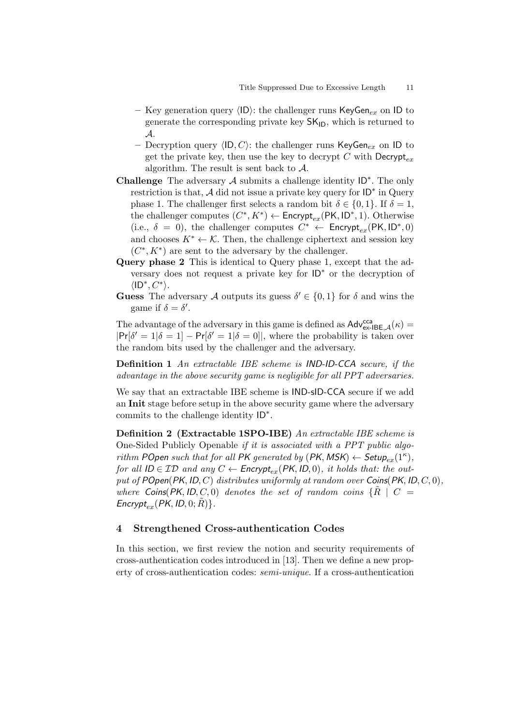- **–** Key generation query *⟨*ID*⟩*: the challenger runs KeyGen*ex* on ID to generate the corresponding private key  $SK_{ID}$ , which is returned to *A*.
- **–** Decryption query *⟨*ID*, C⟩*: the challenger runs KeyGen*ex* on ID to get the private key, then use the key to decrypt *C* with  $\text{Decrypt}_{er}$ algorithm. The result is sent back to *A*.
- **Challenge** The adversary *A* submits a challenge identity ID*∗* . The only restriction is that, *A* did not issue a private key query for ID*∗* in Query phase 1. The challenger first selects a random bit  $\delta \in \{0, 1\}$ . If  $\delta = 1$ , the challenger computes  $(C^*, K^*) \leftarrow$  Encrypt<sub>ex</sub>(PK, ID<sup>\*</sup>, 1). Otherwise (i.e.,  $\delta = 0$ ), the challenger computes  $C^* \leftarrow$  Encrypt<sub>ex</sub>(PK, ID<sup>\*</sup>, 0) and chooses  $K^* \leftarrow \mathcal{K}$ . Then, the challenge ciphertext and session key  $(C^*, K^*)$  are sent to the adversary by the challenger.
- **Query phase 2** This is identical to Query phase 1, except that the adversary does not request a private key for ID*∗* or the decryption of *⟨*ID*∗ , C∗ ⟩*.
- **Guess** The adversary *A* outputs its guess  $\delta' \in \{0, 1\}$  for  $\delta$  and wins the game if  $\delta = \delta'$ .

The advantage of the adversary in this game is defined as  $\mathsf{Adv}_{\mathsf{ex} \text{-} \mathsf{IBE},\mathcal{A}}^{cca}(\kappa) =$  $|Pr[\delta' = 1 | \delta = 1] - Pr[\delta' = 1 | \delta = 0]|$ , where the probability is taken over the random bits used by the challenger and the adversary.

**Definition 1** *An extractable IBE scheme is IND-ID-CCA secure, if the advantage in the above security game is negligible for all PPT adversaries.*

We say that an extractable IBE scheme is IND-sID-CCA secure if we add an **Init** stage before setup in the above security game where the adversary commits to the challenge identity ID*∗* .

**Definition 2 (Extractable 1SPO-IBE)** *An extractable IBE scheme is* One-Sided Publicly Openable *if it is associated with a PPT public algorithm POpen such that for all PK generated by* (*PK*, *MSK*)  $\leftarrow$  *Setup*<sub>*ex*</sub>(1<sup>*κ*</sup>), *for all*  $ID \in TD$  *and any*  $C \leftarrow \text{Encrypt}_{ex}(PK, ID, 0)$ *, it holds that: the output of POpen*(*PK, ID, C*) *distributes uniformly at random over Coins*(*PK, ID, C,* 0)*, where Coins*(*PK, ID, C,* 0) *denotes the set of random coins*  ${R \mid C}$  $\mathcal{E}n$ *crypt<sub>ex</sub>*( $PK$ ,  $ID$ ,  $0$ ;  $\tilde{R}$ ) $\}$ .

#### **4 Strengthened Cross-authentication Codes**

In this section, we first review the notion and security requirements of cross-authentication codes introduced in [13]. Then we define a new property of cross-authentication codes: *semi-unique*. If a cross-authentication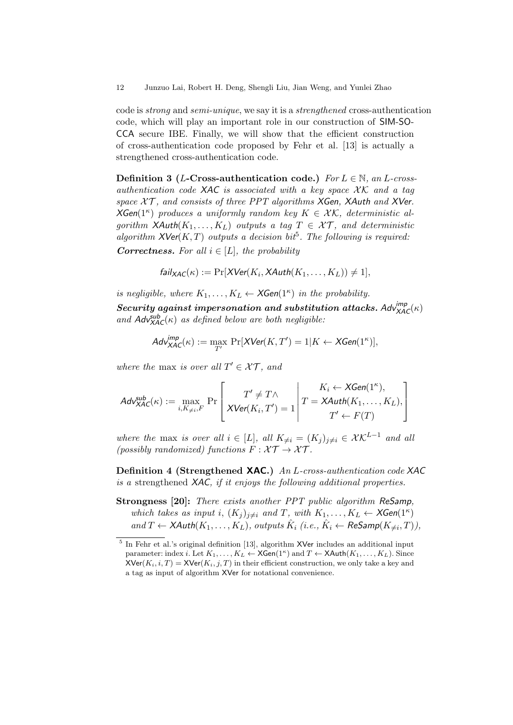12 Junzuo Lai, Robert H. Deng, Shengli Liu, Jian Weng, and Yunlei Zhao

code is *strong* and *semi-unique*, we say it is a *strengthened* cross-authentication code, which will play an important role in our construction of SIM-SO-CCA secure IBE. Finally, we will show that the efficient construction of cross-authentication code proposed by Fehr et al. [13] is actually a strengthened cross-authentication code.

**Definition 3 (***L***<b>-Cross-authentication code.)**  $For L \in \mathbb{N}$ , an *L*-cross*authentication code XAC is associated with a key space X K and a tag space X T , and consists of three PPT algorithms XGen, XAuth and XVer.*  $XGen(1^{\kappa})$  produces a uniformly random key  $K \in \mathcal{XK}$ , deterministic al*gorithm*  $X \text{Auth}(K_1, \ldots, K_L)$  *outputs a tag*  $T \in \mathcal{X} \mathcal{T}$ *, and deterministic* algorithm  $X$ Ver $(K, T)$  *outputs a decision bit*<sup>5</sup>. The following is required:

*Correctness.* For all  $i \in [L]$ , the probability

$$
fail_{XAC}(\kappa) := \Pr[XVer(K_i, XAuthor(K_1, \ldots, K_L)) \neq 1],
$$

*is negligible, where*  $K_1, \ldots, K_L \leftarrow \text{XGen}(1^{\kappa})$  *in the probability.* 

 $Security$  *against impersonation and substitution attacks.*  $Adv_{XAC}^{imp}(\kappa)$ and  $Adv_{XAC}^{sub}(\kappa)$  *as defined below are both negligible:* 

$$
\mathcal{A} \mathsf{dv}_{\mathsf{XAC}}^{\mathsf{imp}}(\kappa) := \max_{T'} \Pr[\mathsf{XVer}(K, T') = 1 | K \leftarrow \mathsf{XGen}(1^{\kappa})],
$$

*where the max is over all*  $T' \in \mathcal{X}\mathcal{T}$ *, and* 

$$
Adv_{XAC}^{sub}(\kappa) := \max_{i, K_{\neq i}, F} \Pr\left[\n\begin{array}{c}\nT' \neq T \wedge \\
X\text{Ver}(K_i, T') = 1\n\end{array}\n\middle| \n\begin{array}{c}\nK_i \leftarrow XGen(1^{\kappa}), \\
T = X \text{Author}(K_1, \ldots, K_L), \\
T' \leftarrow F(T)\n\end{array}\n\right]
$$

*where the* max *is over all*  $i \in [L]$ *, all*  $K_{\neq i} = (K_j)_{j \neq i} \in \mathcal{X} \mathcal{K}^{L-1}$  and all *(possibly randomized) functions*  $F: \mathcal{X} \mathcal{T} \rightarrow \mathcal{X} \mathcal{T}$ *.* 

**Definition 4 (Strengthened XAC.)** *An L-cross-authentication code XAC is a* strengthened *XAC, if it enjoys the following additional properties.*

**Strongness [20]:** *There exists another PPT public algorithm ReSamp, which takes as input i,*  $(K_j)_{j\neq i}$  *and*  $T$ *, with*  $K_1, \ldots, K_L \leftarrow \text{XGen}(1^{\kappa})$  $and T \leftarrow \text{XAuth}(K_1, \ldots, K_L)$ ,  $outputs \ \hat{K}_i \ (i.e., \ \hat{K}_i \leftarrow \text{ReSamp}(K_{\neq i}, T)$ ),

<sup>&</sup>lt;sup>5</sup> In Fehr et al.'s original definition [13], algorithm XVer includes an additional input parameter: index *i*. Let  $K_1, \ldots, K_L \leftarrow \mathsf{XGen}(1^{\kappa})$  and  $T \leftarrow \mathsf{XAuth}(K_1, \ldots, K_L)$ . Since  $X\text{Ver}(K_i, i, T) = X\text{Ver}(K_i, j, T)$  in their efficient construction, we only take a key and a tag as input of algorithm XVer for notational convenience.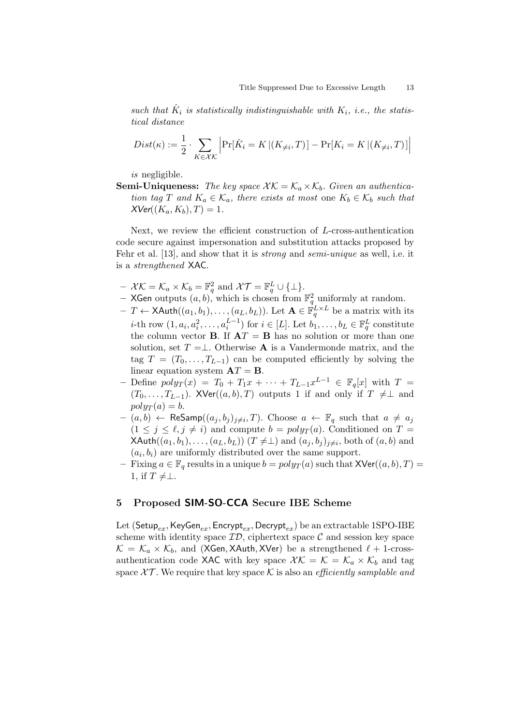*such that*  $\hat{K}_i$  *is statistically indistinguishable with*  $K_i$ *, i.e., the statistical distance*

$$
Dist(\kappa) := \frac{1}{2} \cdot \sum_{K \in \mathcal{X} \mathcal{K}} \left| \Pr[\hat{K}_i = K | (K_{\neq i}, T)] - \Pr[K_i = K | (K_{\neq i}, T)] \right|
$$

*is* negligible*.*

**Semi-Uniqueness:** The key space  $XK = K_a \times K_b$ . Given an authentica*tion tag T* and  $K_a \in \mathcal{K}_a$ , there exists at most one  $K_b \in \mathcal{K}_b$  such that *XVer*( $(K_a, K_b), T$ ) = 1*.* 

Next, we review the efficient construction of *L*-cross-authentication code secure against impersonation and substitution attacks proposed by Fehr et al. [13], and show that it is *strong* and *semi-unique* as well, i.e. it is a *strengthened* XAC.

- $\mathcal{L} \mathcal{X}\mathcal{K} = \mathcal{K}_a \times \mathcal{K}_b = \mathbb{F}_q^2 \text{ and } \mathcal{X}\mathcal{T} = \mathbb{F}_q^L \cup \{\perp\}.$
- **XGen** outputs  $(a, b)$ , which is chosen from  $\mathbb{F}_q^2$  uniformly at random.
- **-** *T* ← XAuth $((a_1, b_1), \ldots, (a_L, b_L))$ . Let  $\mathbf{A} \in \mathbb{F}_q^{L \times L}$  be a matrix with its *i*-th row  $(1, a_i, a_i^2, \ldots, a_i^{L-1})$  for  $i \in [L]$ . Let  $b_1, \ldots, b_L \in \mathbb{F}_q^L$  constitute the column vector **B***.* If  $AT = B$  has no solution or more than one solution, set  $T = \perp$ . Otherwise **A** is a Vandermonde matrix, and the tag  $T = (T_0, \ldots, T_{L-1})$  can be computed efficiently by solving the linear equation system  $\mathbf{A}T = \mathbf{B}$ .
- $-$  Define  $poly_T(x) = T_0 + T_1x + \cdots + T_{L-1}x^{L-1} \in \mathbb{F}_q[x]$  with  $T =$  $(T_0, \ldots, T_{L-1})$ . XVer( $(a, b), T$ ) outputs 1 if and only if  $T ≠ ⊥$  and  $polyT(a) = b$ .
- $(a, b)$   $\leftarrow$  ReSamp $((a_j, b_j)_{j \neq i}, T)$ . Choose  $a \leftarrow \mathbb{F}_q$  such that  $a \neq a_j$  $(1 \leq j \leq \ell, j \neq i)$  and compute  $b = poly_T(a)$ . Conditioned on  $T =$  $(\mathsf{XAuth}((a_1, b_1), \ldots, (a_L, b_L)) \ (T \neq \perp) \text{ and } (a_j, b_j)_{j \neq i}, \text{ both of } (a, b) \text{ and }$  $(a_i, b_i)$  are uniformly distributed over the same support.
- $−$  Fixing  $a \in \mathbb{F}_q$  results in a unique  $b = poly_T(a)$  such that  $XVer((a, b), T) =$ 1, if  $T \neq \perp$ .

# **5 Proposed SIM-SO-CCA Secure IBE Scheme**

Let (Setup*ex,*KeyGen*ex,* Encrypt*ex,* Decrypt*ex*) be an extractable 1SPO-IBE scheme with identity space  $ID$ , ciphertext space  $C$  and session key space  $\mathcal{K} = \mathcal{K}_a \times \mathcal{K}_b$ , and (XGen, XAuth, XVer) be a strengthened  $\ell + 1$ -crossauthentication code XAC with key space  $XK = K = \mathcal{K}_a \times \mathcal{K}_b$  and tag space  $\mathcal{X}\mathcal{T}$ . We require that key space  $\mathcal{K}$  is also an *efficiently samplable and*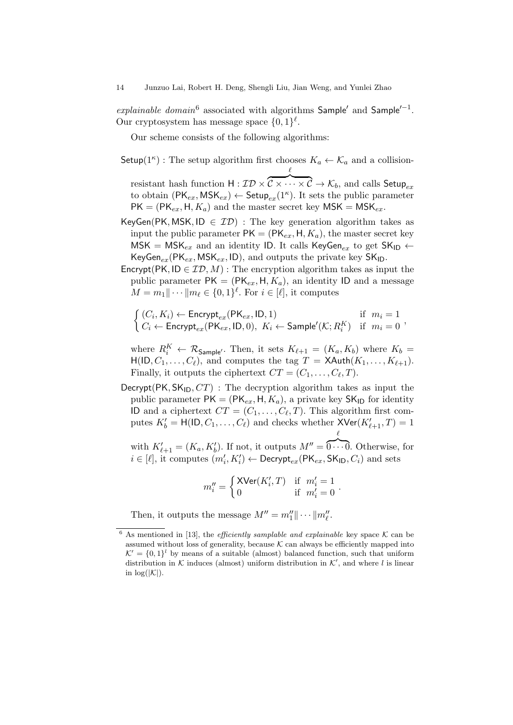*explainable domain*<sup>6</sup> associated with algorithms Sample<sup> $\prime$ </sup> and Sample<sup> $\prime$ −1</sup>. Our cryptosystem has message space  $\{0,1\}^{\ell}$ .

Our scheme consists of the following algorithms:

- Setup( $1^{\kappa}$ ) : The setup algorithm first chooses  $K_a \leftarrow \mathcal{K}_a$  and a collisionresistant hash function H : *ID × ℓ*  $\lim_{\ell}$  algorith<br>chooses i  $\mathcal{C} \times \cdots \times \mathcal{C} \rightarrow \mathcal{K}_b,$  and calls  $\mathsf{Setup}_{ex}$ to obtain  $(\mathsf{PK}_{ex}, \mathsf{MSK}_{ex}) \leftarrow \mathsf{Setup}_{ex}(1^{\kappa})$ . It sets the public parameter  $PK = (PK_{ex}, H, K_a)$  and the master secret key  $MSK = MSK_{ex}$ .
- KeyGen(PK*,* MSK*,* ID *∈ ID*) : The key generation algorithm takes as input the public parameter  $PK = (PK_{ex}, H, K_a)$ , the master secret key  $MSK = MSK_{ex}$  and an identity ID. It calls KeyGen<sub>ex</sub> to get  $SK_{ID} \leftarrow$ KeyGen<sub>ex</sub>(PK<sub>ex</sub>, MSK<sub>ex</sub>, ID), and outputs the private key SK<sub>ID</sub>.
- Encrypt( $\overline{PK}$ ,  $\overline{ID} \in \mathcal{ID}, M$ ) : The encryption algorithm takes as input the public parameter  $PK = (PK_{ex}, H, K_a)$ , an identity ID and a message  $M = m_1 || \cdots || m_\ell \in \{0, 1\}^\ell$ . For  $i \in [\ell]$ , it computes

$$
\begin{cases}\n(C_i, K_i) \leftarrow \mathsf{Encrypt}_{ex}(\mathsf{PK}_{ex}, \mathsf{ID}, 1) & \text{if } m_i = 1 \\
C_i \leftarrow \mathsf{Encrypt}_{ex}(\mathsf{PK}_{ex}, \mathsf{ID}, 0), \ K_i \leftarrow \mathsf{Sample}'(\mathcal{K}; R_i^K) & \text{if } m_i = 0\n\end{cases}
$$

where  $R_i^K \leftarrow \mathcal{R}_{\textsf{Sample'}}$ . Then, it sets  $K_{\ell+1} = (K_a, K_b)$  where  $K_b =$  $H(ID, C_1, \ldots, C_\ell)$ , and computes the tag  $T = XAuth(K_1, \ldots, K_{\ell+1})$ . Finally, it outputs the ciphertext  $CT = (C_1, \ldots, C_\ell, T)$ .

Decrypt(PK,  $SK_{ID}$ ,  $CT$ ) : The decryption algorithm takes as input the public parameter  $PK = (PK_{ex}, H, K_a)$ , a private key  $SK_{ID}$  for identity ID and a ciphertext  $CT = (C_1, \ldots, C_{\ell}, T)$ . This algorithm first computes  $K'_{b} = H(\mathsf{ID}, C_1, \ldots, C_{\ell})$  and checks whether  $\mathsf{XVer}(K'_{\ell+1}, T) = 1$ *ℓ*  $\begin{array}{c} \text{key } S \\ \text{also} \\ \text{r} \quad \text{XV} \\ \ell \end{array}$ 

with  $K'_{\ell+1} = (K_a, K'_b)$ . If not, it outputs  $M'' = 0 \cdots 0$ . Otherwise, for  $i \in [\ell]$ , it computes  $(m'_i, K'_i) \leftarrow$  Decrypt<sub>ex</sub>(PK<sub>ex</sub>, SK<sub>ID</sub>,  $C_i$ ) and sets

$$
m_i'' = \begin{cases} \text{XVer}(K_i', T) & \text{if} \quad m_i' = 1 \\ 0 & \text{if} \quad m_i' = 0 \end{cases}.
$$

Then, it outputs the message  $M'' = m_1'' || \cdots || m_{\ell}''.$ 

<sup>&</sup>lt;sup>6</sup> As mentioned in [13], the *efficiently samplable and explainable* key space  $K$  can be assumed without loss of generality, because  $K$  can always be efficiently mapped into  $K' = \{0, 1\}$ <sup>l</sup> by means of a suitable (almost) balanced function, such that uniform distribution in  $K$  induces (almost) uniform distribution in  $K'$ , and where *l* is linear in  $\log(|\mathcal{K}|)$ .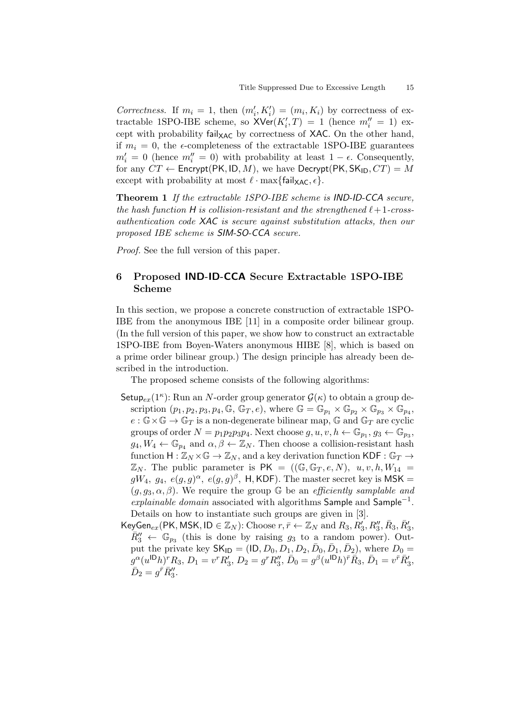*Correctness.* If  $m_i = 1$ , then  $(m'_i, K'_i) = (m_i, K_i)$  by correctness of extractable 1SPO-IBE scheme, so  $X\text{Ver}(K'_{i}, T) = 1$  (hence  $m''_{i} = 1$ ) except with probability fail $_{\text{XAC}}$  by correctness of XAC. On the other hand, if  $m_i = 0$ , the  $\epsilon$ -completeness of the extractable 1SPO-IBE guarantees  $m'_i = 0$  (hence  $m''_i = 0$ ) with probability at least  $1 - \epsilon$ . Consequently, for any  $CT \leftarrow$  Encrypt(PK, ID, M), we have Decrypt(PK, SK<sub>ID</sub>,  $CT$ ) = M except with probability at most  $\ell \cdot \max\{\text{fail}_{\text{XAC}}, \epsilon\}.$ 

**Theorem 1** *If the extractable 1SPO-IBE scheme is IND-ID-CCA secure, the hash function*  $H$  *is collision-resistant and the strengthened*  $\ell + 1$ *-crossauthentication code XAC is secure against substitution attacks, then our proposed IBE scheme is SIM-SO-CCA secure.*

*Proof.* See the full version of this paper.

# **6 Proposed IND-ID-CCA Secure Extractable 1SPO-IBE Scheme**

In this section, we propose a concrete construction of extractable 1SPO-IBE from the anonymous IBE [11] in a composite order bilinear group. (In the full version of this paper, we show how to construct an extractable 1SPO-IBE from Boyen-Waters anonymous HIBE [8], which is based on a prime order bilinear group.) The design principle has already been described in the introduction.

The proposed scheme consists of the following algorithms:

- Setup<sub>ex</sub>(1<sup>*κ*</sup>): Run an *N*-order group generator  $\mathcal{G}(\kappa)$  to obtain a group description  $(p_1, p_2, p_3, p_4, \mathbb{G}, \mathbb{G}_T, e)$ , where  $\mathbb{G} = \mathbb{G}_{p_1} \times \mathbb{G}_{p_2} \times \mathbb{G}_{p_3} \times \mathbb{G}_{p_4}$ ,  $e: \mathbb{G} \times \mathbb{G} \to \mathbb{G}_T$  is a non-degenerate bilinear map,  $\mathbb{G}$  and  $\mathbb{G}_T$  are cyclic groups of order  $N = p_1p_2p_3p_4$ . Next choose  $g, u, v, h \leftarrow \mathbb{G}_{p_1}, g_3 \leftarrow \mathbb{G}_{p_3}$ ,  $g_4, W_4 \leftarrow \mathbb{G}_{p_4}$  and  $\alpha, \beta \leftarrow \mathbb{Z}_N$ . Then choose a collision-resistant hash function  $H: \mathbb{Z}_N \times \mathbb{G} \to \mathbb{Z}_N$ , and a key derivation function KDF :  $\mathbb{G}_T \to$  $\mathbb{Z}_N$ . The public parameter is  $PK = ((\mathbb{G}, \mathbb{G}_T, e, N), u, v, h, W_{14})$  $gW_4, g_4, e(g,g)^\alpha, e(g,g)^\beta, H, \text{KDF}$ . The master secret key is  $\textsf{MSK} =$  $(g, g_3, \alpha, \beta)$ . We require the group G be an *efficiently samplable and explainable domain* associated with algorithms Sample and Sample*−*<sup>1</sup> . Details on how to instantiate such groups are given in [3].
- $\mathsf{KeyGen}_{ex}(\mathsf{PK}, \mathsf{MSK}, \mathsf{ID} \in \mathbb{Z}_N)$ : Choose  $r, \bar{r} \leftarrow \mathbb{Z}_N$  and  $R_3, R'_3, R''_3, \bar{R}_3, \bar{R}'_3, \bar{R}'_3, \bar{R}'_3, \bar{R}''_3, \bar{R}'_3, \bar{R}''_3, \bar{R}''_3, \bar{R}''_3, \bar{R}''_3, \bar{R}''_3, \bar{R}''_3, \bar{R}''_3, \bar{R}''_3, \bar{R}''_3, \bar{R}$  $\bar{R}''_3 \leftarrow \mathbb{G}_{p_3}$  (this is done by raising  $g_3$  to a random power). Output the private key  $SK_{1D} = (ID, D_0, D_1, D_2, \bar{D}_0, \bar{D}_1, \bar{D}_2)$ , where  $D_0 =$  $g^{\alpha}(u^{\mathsf{ID}}h)^rR_3,\, D_1=v^rR'_3,\, D_2=g^rR''_3,\, \bar{D}_0=g^{\beta}(u^{\mathsf{ID}}h)^{\bar{r}}\dot{\bar{R_3}},\, \bar{D}_1=v^{\bar{r}}\bar{R}'_3,$  $\bar{D}_2 = g^{\bar{r}} \bar{R}''_3$ .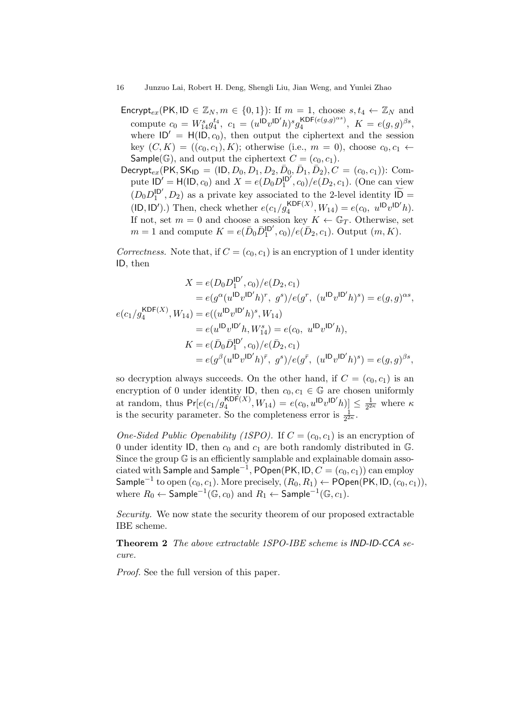Encrypt<sub>ex</sub>(PK, ID  $\in \mathbb{Z}_N, m \in \{0,1\}$ ): If  $m = 1$ , choose  $s, t_4 \leftarrow \mathbb{Z}_N$  and compute  $c_0 = W_{14}^s g_4^{t_4}, c_1 = (u^{|\mathbf{D}} v^{|\mathbf{D}'|} h)^s g_4^{|\mathbf{KDF}(e(g,g)^{|\alpha s})}$  $K_4^{\text{KDF}(e(g,g)^{as})}, K = e(g,g)^{\beta s},$ where  $ID' = H(1D, c_0)$ , then output the ciphertext and the session  $key (C, K) = ((c_0, c_1), K);$  otherwise (i.e.,  $m = 0$ ), choose  $c_0, c_1$  ← Sample( $\mathbb{G}$ ), and output the ciphertext  $C = (c_0, c_1)$ .

 $\text{Decrypt}_{ex}(\text{PK}, \text{SK}_{\text{ID}} = (\text{ID}, D_0, D_1, D_2, \bar{D}_0, \bar{D}_1, \bar{D}_2), C = (c_0, c_1)$ ): Compute  $ID' = H(ID, c_0)$  and  $X = e(D_0D_1^{ID'}, c_0)/e(D_2, c_1)$ . (One can view Rey  $(C, K) = ((c_0, c_1), K)$ ; otherwise  $(1.e., m = 0)$ , choose  $c_0, c_1 \leftarrow$ <br>
Sample(G), and output the ciphertext  $C = (c_0, c_1)$ .<br>  $c$ crypt<sub>ex</sub>(PK, SK<sub>ID</sub> = (ID,  $D_0, D_1, D_2, \bar{D}_0, \bar{D}_1, \bar{D}_2$ ),  $C = (c_0, c_1)$ ): Compute  $|D' = H(|D$  $(ID, ID').$  Then, check whether  $e(c_1/g_4^{KDF(X)}, W_{14}) = e(c_0, u^{ID}v^{ID'}h)$ . If not, set  $m = 0$  and choose a session key  $K \leftarrow \mathbb{G}_T$ . Otherwise, set  $m = 1$  and compute  $K = e(\bar{D}_0 \bar{D}_1^{\text{ID}'}, c_0) / e(\bar{D}_2, c_1)$ . Output  $(m, K)$ .

*Correctness.* Note that, if  $C = (c_0, c_1)$  is an encryption of 1 under identity ID, then

$$
X = e(D_0 D_1^{\mathsf{ID}'}, c_0) / e(D_2, c_1)
$$
  
\n
$$
= e(g^{\alpha} (u^{\mathsf{ID}} v^{\mathsf{ID}'} h)^r, g^s) / e(g^r, (u^{\mathsf{ID}} v^{\mathsf{ID}'} h)^s) = e(g, g)^{\alpha s},
$$
  
\n
$$
e(c_1/g_4^{\mathsf{KDF}(X)}, W_{14}) = e((u^{\mathsf{ID}} v^{\mathsf{ID}'} h)^s, W_{14})
$$
  
\n
$$
= e(u^{\mathsf{ID}} v^{\mathsf{ID}'} h, W_{14}^s) = e(c_0, u^{\mathsf{ID}} v^{\mathsf{ID}'} h),
$$
  
\n
$$
K = e(\bar{D}_0 \bar{D}_1^{\mathsf{ID}'}, c_0) / e(\bar{D}_2, c_1)
$$
  
\n
$$
= e(g^{\beta} (u^{\mathsf{ID}} v^{\mathsf{ID}'} h)^{\bar{r}}, g^s) / e(g^{\bar{r}}, (u^{\mathsf{ID}} v^{\mathsf{ID}'} h)^s) = e(g, g)^{\beta s},
$$

so decryption always succeeds. On the other hand, if  $C = (c_0, c_1)$  is an encryption of 0 under identity ID, then  $c_0, c_1 \in \mathbb{G}$  are chosen uniformly at random, thus  $Pr[e(c_1/g_4^{\text{KDF}(X)}, W_{14})] = e(c_0, u^{|\mathbf{D}_v| \mathbf{D}' h})] \le \frac{1}{2^2}$  $\frac{1}{2^{2\kappa}}$  where  $\kappa$ is the security parameter. So the completeness error is  $\frac{1}{2^{2\kappa}}$ .

*One-Sided Public Openability (1SPO).* If  $C = (c_0, c_1)$  is an encryption of 0 under identity ID, then  $c_0$  and  $c_1$  are both randomly distributed in  $\mathbb{G}$ . Since the group  $\mathbb G$  is an efficiently samplable and explainable domain asso- $\text{ciated with Sample and Sample}^{-1}, \textsf{POpen}(\textsf{PK}, \textsf{ID}, C=(c_0, c_1)) \text{ can employ}$  $\mathsf{Sample}^{-1}$  to open  $(c_0, c_1)$ . More precisely,  $(R_0, R_1)$  ←  $\mathsf{POpen}(\mathsf{PK}, \mathsf{ID}, (c_0, c_1)),$  $\text{where } R_0 \leftarrow \textsf{Sample}^{-1}(\mathbb{G}, c_0) \text{ and } R_1 \leftarrow \textsf{Sample}^{-1}(\mathbb{G}, c_1).$ 

*Security.* We now state the security theorem of our proposed extractable IBE scheme.

**Theorem 2** *The above extractable 1SPO-IBE scheme is IND-ID-CCA secure.*

*Proof.* See the full version of this paper.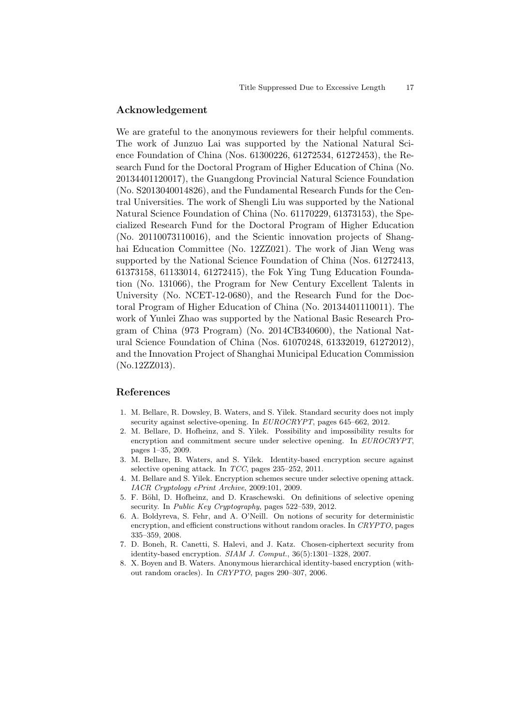#### **Acknowledgement**

We are grateful to the anonymous reviewers for their helpful comments. The work of Junzuo Lai was supported by the National Natural Science Foundation of China (Nos. 61300226, 61272534, 61272453), the Research Fund for the Doctoral Program of Higher Education of China (No. 20134401120017), the Guangdong Provincial Natural Science Foundation (No. S2013040014826), and the Fundamental Research Funds for the Central Universities. The work of Shengli Liu was supported by the National Natural Science Foundation of China (No. 61170229, 61373153), the Specialized Research Fund for the Doctoral Program of Higher Education (No. 20110073110016), and the Scientic innovation projects of Shanghai Education Committee (No. 12ZZ021). The work of Jian Weng was supported by the National Science Foundation of China (Nos. 61272413, 61373158, 61133014, 61272415), the Fok Ying Tung Education Foundation (No. 131066), the Program for New Century Excellent Talents in University (No. NCET-12-0680), and the Research Fund for the Doctoral Program of Higher Education of China (No. 20134401110011). The work of Yunlei Zhao was supported by the National Basic Research Program of China (973 Program) (No. 2014CB340600), the National Natural Science Foundation of China (Nos. 61070248, 61332019, 61272012), and the Innovation Project of Shanghai Municipal Education Commission (No.12ZZ013).

#### **References**

- 1. M. Bellare, R. Dowsley, B. Waters, and S. Yilek. Standard security does not imply security against selective-opening. In *EUROCRYPT*, pages 645–662, 2012.
- 2. M. Bellare, D. Hofheinz, and S. Yilek. Possibility and impossibility results for encryption and commitment secure under selective opening. In *EUROCRYPT*, pages 1–35, 2009.
- 3. M. Bellare, B. Waters, and S. Yilek. Identity-based encryption secure against selective opening attack. In *TCC*, pages 235–252, 2011.
- 4. M. Bellare and S. Yilek. Encryption schemes secure under selective opening attack. *IACR Cryptology ePrint Archive*, 2009:101, 2009.
- 5. F. Böhl, D. Hofheinz, and D. Kraschewski. On definitions of selective opening security. In *Public Key Cryptography*, pages 522–539, 2012.
- 6. A. Boldyreva, S. Fehr, and A. O'Neill. On notions of security for deterministic encryption, and efficient constructions without random oracles. In *CRYPTO*, pages 335–359, 2008.
- 7. D. Boneh, R. Canetti, S. Halevi, and J. Katz. Chosen-ciphertext security from identity-based encryption. *SIAM J. Comput.*, 36(5):1301–1328, 2007.
- 8. X. Boyen and B. Waters. Anonymous hierarchical identity-based encryption (without random oracles). In *CRYPTO*, pages 290–307, 2006.